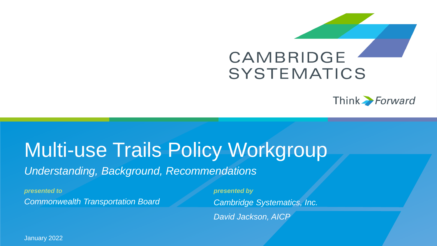



# Multi-use Trails Policy Workgroup *Understanding, Background, Recommendations*

*presented to presented by Commonwealth Transportation Board*

*Cambridge Systematics, Inc. David Jackson, AICP*

1 January 2022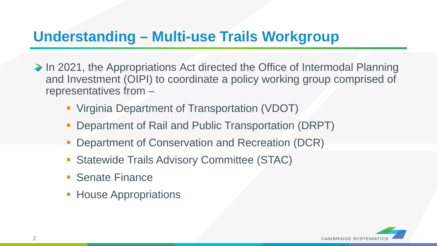## **Understanding – Multi-use Trails Workgroup**

- ◆ In 2021, the Appropriations Act directed the Office of Intermodal Planning and Investment (OIPI) to coordinate a policy working group comprised of representatives from –
	- Virginia Department of Transportation (VDOT)
	- Department of Rail and Public Transportation (DRPT)
	- Department of Conservation and Recreation (DCR)
	- **Statewide Trails Advisory Committee (STAC)**
	- Senate Finance
	- **House Appropriations**

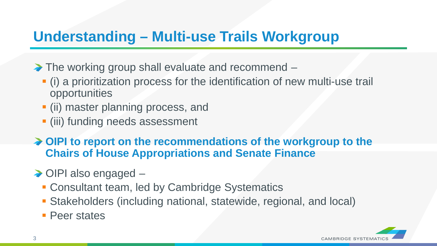## **Understanding – Multi-use Trails Workgroup**

- ◆ The working group shall evaluate and recommend
	- (i) a prioritization process for the identification of new multi-use trail opportunities
	- (ii) master planning process, and
	- (iii) funding needs assessment
- ◆ OIPI to report on the recommendations of the workgroup to the **Chairs of House Appropriations and Senate Finance**
- ◆ OIPI also engaged
	- **Consultant team, led by Cambridge Systematics**
	- Stakeholders (including national, statewide, regional, and local)
	- **Peer states**

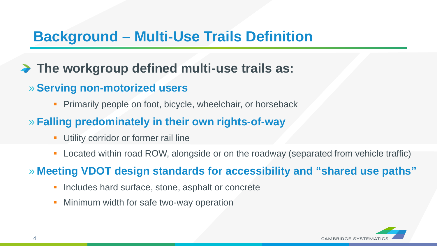## **Background – Multi-Use Trails Definition**

### **The workgroup defined multi-use trails as:**

- » **Serving non-motorized users**
	- Primarily people on foot, bicycle, wheelchair, or horseback
- » **Falling predominately in their own rights-of-way**
	- Utility corridor or former rail line
	- **Located within road ROW, alongside or on the roadway (separated from vehicle traffic)**

» **Meeting VDOT design standards for accessibility and "shared use paths"**

- Includes hard surface, stone, asphalt or concrete
- Minimum width for safe two-way operation

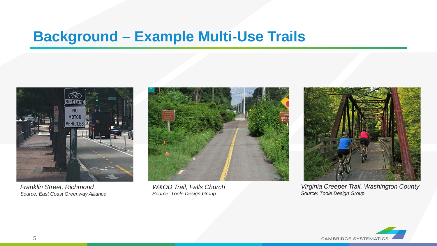## **Background – Example Multi-Use Trails**



*Franklin Street, Richmond Source: East Coast Greenway Alliance*



*W&OD Trail, Falls Church Source: Toole Design Group*



*Virginia Creeper Trail, Washington County Source: Toole Design Group*

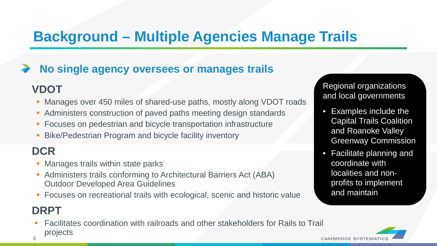## **Background – Multiple Agencies Manage Trails**

#### **No single agency oversees or manages trails**

#### **VDOT**

- **Manages over 450 miles of shared-use paths, mostly along VDOT roads**
- Administers construction of paved paths meeting design standards
- **Focuses on pedestrian and bicycle transportation infrastructure**
- Bike/Pedestrian Program and bicycle facility inventory

### **DCR**

- Manages trails within state parks
- Administers trails conforming to Architectural Barriers Act (ABA) Outdoor Developed Area Guidelines
- **Focuses on recreational trails with ecological, scenic and historic value**

### **DRPT**

 Facilitates coordination with railroads and other stakeholders for Rails to Trail projects

Regional organizations and local governments

- Examples include the Capital Trails Coalition and Roanoke Valley Greenway Commission
- Facilitate planning and coordinate with localities and nonprofits to implement and maintain



6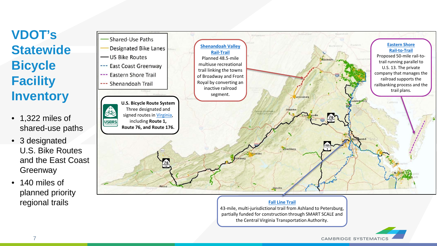## **VDOT's Statewide Bicycle Facility Inventory**

- 1,322 miles of shared-use paths
- 3 designated U.S. Bike Routes and the East Coast **Greenway**
- 140 miles of planned priority regional trails



#### **[Fall Line Trail](https://www.virginiadot.org/projects/richmond/ashland-to-petersburg-trail-study.asp)**

43-mile, multi-jurisdictional trail from Ashland to Petersburg, partially funded for construction through SMART SCALE and the Central Virginia Transportation Authority.

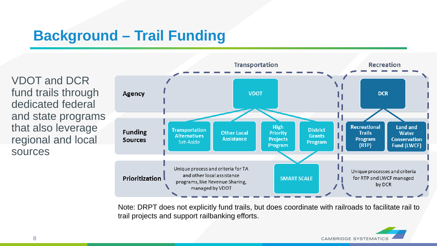## **Background – Trail Funding**

VDOT and DCR fund trails through dedicated federal and state programs that also leverage regional and local sources



Note: DRPT does not explicitly fund trails, but does coordinate with railroads to facilitate rail to trail projects and support railbanking efforts.

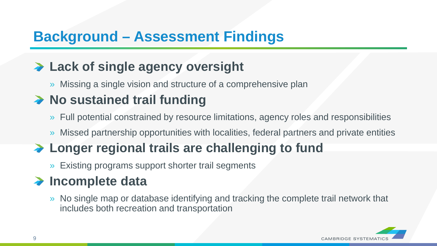## **Background – Assessment Findings**

### **Lack of single agency oversight**

» Missing a single vision and structure of a comprehensive plan

### ◆ No sustained trail funding

- » Full potential constrained by resource limitations, agency roles and responsibilities
- » Missed partnership opportunities with localities, federal partners and private entities

## ◆ Longer regional trails are challenging to fund

» Existing programs support shorter trail segments

### **→ Incomplete data**

» No single map or database identifying and tracking the complete trail network that includes both recreation and transportation

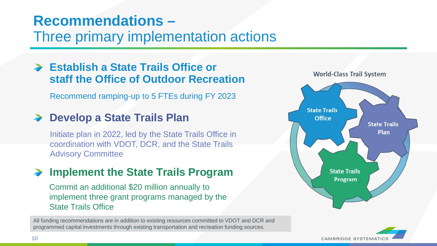## **Recommendations –**

Three primary implementation actions

#### **Establish a State Trails Office or staff the Office of Outdoor Recreation**

Recommend ramping-up to 5 FTEs during FY 2023

#### ◆ Develop a State Trails Plan

Initiate plan in 2022, led by the State Trails Office in coordination with VDOT, DCR, and the State Trails Advisory Committee

#### **Implement the State Trails Program**

Commit an additional \$20 million annually to implement three grant programs managed by the State Trails Office

All funding recommendations are in addition to existing resources committed to VDOT and DCR and programmed capital investments through existing transportation and recreation funding sources.



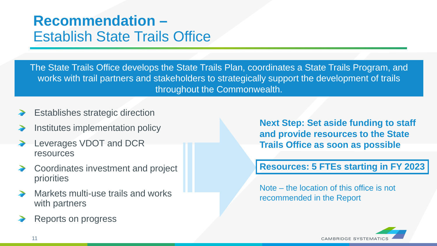## **Recommendation –** Establish State Trails Office

The State Trails Office develops the State Trails Plan, coordinates a State Trails Program, and works with trail partners and stakeholders to strategically support the development of trails throughout the Commonwealth.

- Establishes strategic direction
- Institutes implementation policy
- Leverages VDOT and DCR resources
- Coordinates investment and project priorities
- Markets multi-use trails and works with partners
- Reports on progress

**Next Step: Set aside funding to staff and provide resources to the State Trails Office as soon as possible**

#### **Resources: 5 FTEs starting in FY 2023**

Note – the location of this office is not recommended in the Report

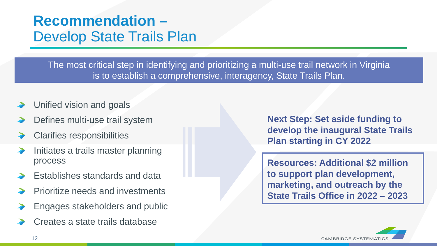## **Recommendation –** Develop State Trails Plan

The most critical step in identifying and prioritizing a multi-use trail network in Virginia is to establish a comprehensive, interagency, State Trails Plan.

- Unified vision and goals
- Defines multi-use trail system
- Clarifies responsibilities
- Initiates a trails master planning process
- Establishes standards and data
- Prioritize needs and investments
- Engages stakeholders and public
- Creates a state trails database

**Next Step: Set aside funding to develop the inaugural State Trails Plan starting in CY 2022** 

**Resources: Additional \$2 million to support plan development, marketing, and outreach by the State Trails Office in 2022 – 2023**

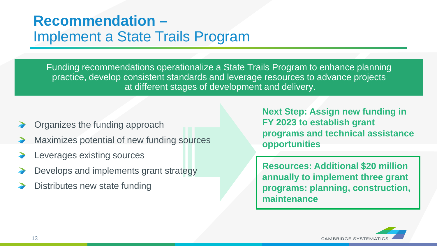## **Recommendation –** Implement a State Trails Program

Funding recommendations operationalize a State Trails Program to enhance planning practice, develop consistent standards and leverage resources to advance projects at different stages of development and delivery.

- Organizes the funding approach
- Maximizes potential of new funding sources
- Leverages existing sources
- Develops and implements grant strategy
- Distributes new state funding

**Next Step: Assign new funding in FY 2023 to establish grant programs and technical assistance opportunities**

**Resources: Additional \$20 million annually to implement three grant programs: planning, construction, maintenance**